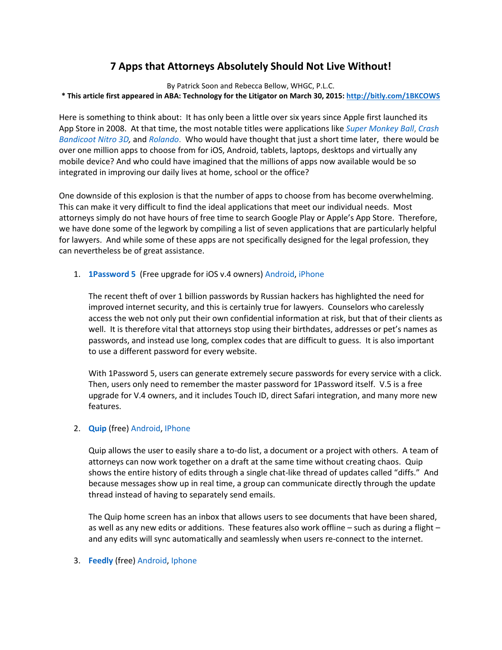# **7 Apps that Attorneys Absolutely Should Not Live Without!**

By Patrick Soon and Rebecca Bellow, WHGC, P.L.C. **\* This article first appeared in ABA: Technology for the Litigator on March 30, 2015:<http://bitly.com/1BKCOWS>**

Here is something to think about: It has only been a little over six years since Apple first launched its App Store in 2008. At that time, the most notable titles were applications like *[Super Monkey Ball](http://supermonkeyball.wikia.com/wiki/Super_Monkey_Ball_(iOS))*, *[Crash](http://www.edge-online.com/news/crash-bandicoot-most-purchased-app-store-download/)  [Bandicoot Nitro 3D,](http://www.edge-online.com/news/crash-bandicoot-most-purchased-app-store-download/)* and *[Rolando](https://itunes.apple.com/us/app/rolando/id299461156?mt=8)*. Who would have thought that just a short time later, there would be over one million apps to choose from for iOS, Android, tablets, laptops, desktops and virtually any mobile device? And who could have imagined that the millions of apps now available would be so integrated in improving our daily lives at home, school or the office?

One downside of this explosion is that the number of apps to choose from has become overwhelming. This can make it very difficult to find the ideal applications that meet our individual needs. Most attorneys simply do not have hours of free time to search Google Play or Apple's App Store. Therefore, we have done some of the legwork by compiling a list of seven applications that are particularly helpful for lawyers. And while some of these apps are not specifically designed for the legal profession, they can nevertheless be of great assistance.

1. **[1Password 5](https://agilebits.com/onepassword)** (Free upgrade for iOS v.4 owners) [Android,](https://play.google.com/store/apps/details?id=com.agilebits.onepassword&hl=en) [iPhone](https://itunes.apple.com/us/app/1password-password-manager/id568903335?mt=8)

The recent theft of over 1 billion passwords by Russian hackers has highlighted the need for improved internet security, and this is certainly true for lawyers. Counselors who carelessly access the web not only put their own confidential information at risk, but that of their clients as well. It is therefore vital that attorneys stop using their birthdates, addresses or pet's names as passwords, and instead use long, complex codes that are difficult to guess. It is also important to use a different password for every website.

With 1Password 5, users can generate extremely secure passwords for every service with a click. Then, users only need to remember the master password for 1Password itself. V.5 is a free upgrade for V.4 owners, and it includes Touch ID, direct Safari integration, and many more new features.

## 2. **[Quip](https://quip.com/about/features)** (free) [Android,](https://play.google.com/store/apps/details?id=com.quip.quip&hl=en) [IPhone](https://itunes.apple.com/us/app/quip-documents-+-messaging/id647922896?mt=8)

Quip allows the user to easily share a to-do list, a document or a project with others. A team of attorneys can now work together on a draft at the same time without creating chaos. Quip shows the entire history of edits through a single chat-like thread of updates called "diffs." And because messages show up in real time, a group can communicate directly through the update thread instead of having to separately send emails.

The Quip home screen has an inbox that allows users to see documents that have been shared, as well as any new edits or additions. These features also work offline – such as during a flight – and any edits will sync automatically and seamlessly when users re-connect to the internet.

#### 3. **[Feedly](https://feedly.com/index.html%23discover)** (free[\) Android,](https://play.google.com/store/apps/details?id=com.devhd.feedly&hl=en) [Iphone](https://itunes.apple.com/us/app/feedly-blogs-news-magazine/id396069556?mt=8)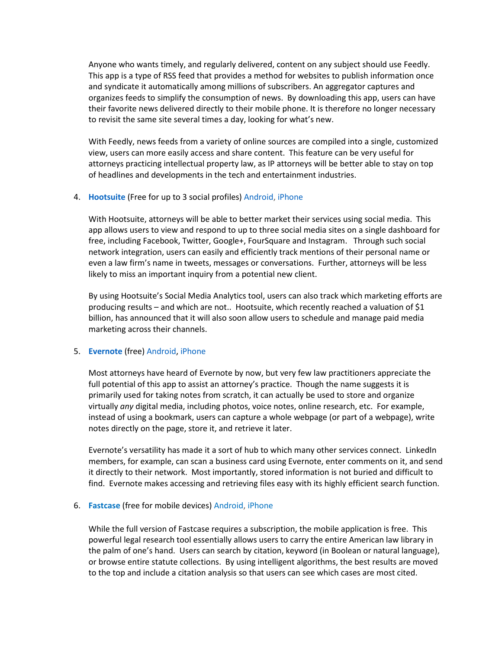Anyone who wants timely, and regularly delivered, content on any subject should use Feedly. This app is a type of RSS feed that provides a method for websites to publish information once and syndicate it automatically among millions of subscribers. An aggregator captures and organizes feeds to simplify the consumption of news. By downloading this app, users can have their favorite news delivered directly to their mobile phone. It is therefore no longer necessary to revisit the same site several times a day, looking for what's new.

With Feedly, news feeds from a variety of online sources are compiled into a single, customized view, users can more easily access and share content. This feature can be very useful for attorneys practicing intellectual property law, as IP attorneys will be better able to stay on top of headlines and developments in the tech and entertainment industries.

#### 4. **[Hootsuite](http://www.hootsuite.com/)** (Free for up to 3 social profiles[\) Android,](https://play.google.com/store/apps/developer?id=Hootsuite&hl=en) [iPhone](https://itunes.apple.com/us/app/hootsuite-for-twitter-social/id341249709?mt=8)

With Hootsuite, attorneys will be able to better market their services using social media. This app allows users to view and respond to up to three social media sites on a single dashboard for free, including Facebook, Twitter, Google+, FourSquare and Instagram. Through such social network integration, users can easily and efficiently track mentions of their personal name or even a law firm's name in tweets, messages or conversations. Further, attorneys will be less likely to miss an important inquiry from a potential new client.

By using Hootsuite's Social Media Analytics tool, users can also track which marketing efforts are producing results – and which are not.. Hootsuite, which recently reached a valuation of \$1 billion, has announced that it will also soon allow users to schedule and manage paid media marketing across their channels.

#### 5. **[Evernote](https://evernote.com/)** (free) [Android,](https://play.google.com/store/apps/details?id=com.evernote&hl=en) [iPhone](https://itunes.apple.com/us/app/evernote/id281796108?mt=8)

Most attorneys have heard of Evernote by now, but very few law practitioners appreciate the full potential of this app to assist an attorney's practice. Though the name suggests it is primarily used for taking notes from scratch, it can actually be used to store and organize virtually *any* digital media, including photos, voice notes, online research, etc. For example, instead of using a bookmark, users can capture a whole webpage (or part of a webpage), write notes directly on the page, store it, and retrieve it later.

Evernote's versatility has made it a sort of hub to which many other services connect. LinkedIn members, for example, can scan a business card using Evernote, enter comments on it, and send it directly to their network. Most importantly, stored information is not buried and difficult to find. Evernote makes accessing and retrieving files easy with its highly efficient search function.

## 6. **[Fastcase](http://www.fastcase.com/)** (free for mobile devices) [Android,](https://play.google.com/store/apps/details?id=com.fastcase.researchapp) [iPhone](https://itunes.apple.com/us/app/fastcase/id352470511?mt=8)

While the full version of Fastcase requires a subscription, the mobile application is free. This powerful legal research tool essentially allows users to carry the entire American law library in the palm of one's hand. Users can search by citation, keyword (in Boolean or natural language), or browse entire statute collections. By using intelligent algorithms, the best results are moved to the top and include a citation analysis so that users can see which cases are most cited.